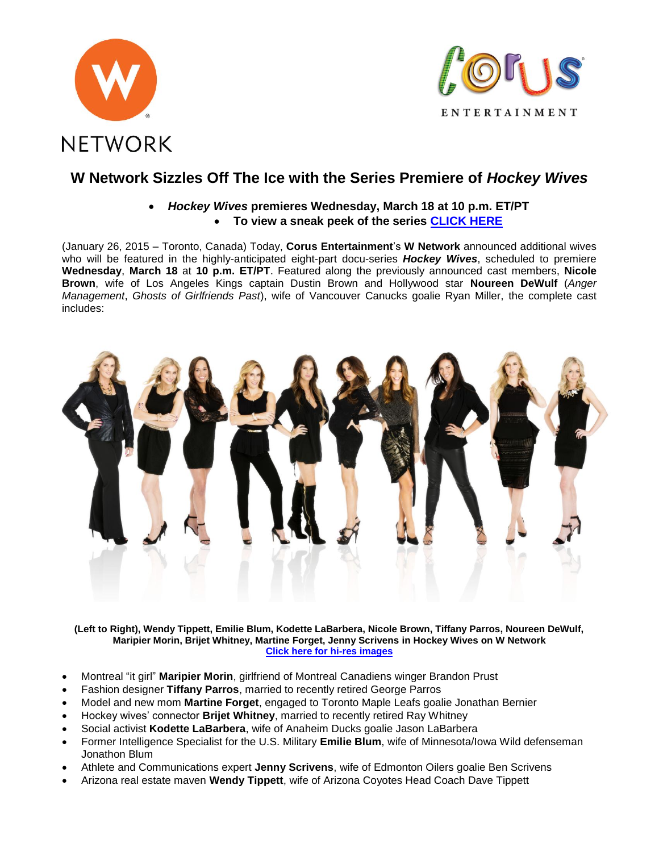



# **W Network Sizzles Off The Ice with the Series Premiere of** *Hockey Wives*

## *Hockey Wives* **premieres Wednesday, March 18 at 10 p.m. ET/PT To view a sneak peek of the series [CLICK HERE](http://youtu.be/XFcBIfGhAec)**

(January 26, 2015 – Toronto, Canada) Today, **Corus Entertainment**'s **W Network** announced additional wives who will be featured in the highly-anticipated eight-part docu-series *Hockey Wives*, scheduled to premiere **Wednesday**, **March 18** at **10 p.m. ET/PT**. Featured along the previously announced cast members, **Nicole Brown**, wife of Los Angeles Kings captain Dustin Brown and Hollywood star **Noureen DeWulf** (*Anger Management*, *Ghosts of Girlfriends Past*), wife of Vancouver Canucks goalie Ryan Miller, the complete cast includes:



**(Left to Right), Wendy Tippett, Emilie Blum, Kodette LaBarbera, Nicole Brown, Tiffany Parros, Noureen DeWulf, Maripier Morin, Brijet Whitney, Martine Forget, Jenny Scrivens in Hockey Wives on W Network [Click here for hi-res images](http://www.corusent.com/home/MediaCentre/Television/WNetwork/ProgramDetails/tabid/2114/Default.aspx?Bid=18&Pid=1451)**

- Montreal "it girl" **Maripier Morin**, girlfriend of Montreal Canadiens winger Brandon Prust
- Fashion designer **Tiffany Parros**, married to recently retired George Parros
- Model and new mom **Martine Forget**, engaged to Toronto Maple Leafs goalie Jonathan Bernier
- Hockey wives' connector **Brijet Whitney**, married to recently retired Ray Whitney
- Social activist **Kodette LaBarbera**, wife of Anaheim Ducks goalie Jason LaBarbera
- Former Intelligence Specialist for the U.S. Military **Emilie Blum**, wife of Minnesota/Iowa Wild defenseman Jonathon Blum
- Athlete and Communications expert **Jenny Scrivens**, wife of Edmonton Oilers goalie Ben Scrivens
- Arizona real estate maven **Wendy Tippett**, wife of Arizona Coyotes Head Coach Dave Tippett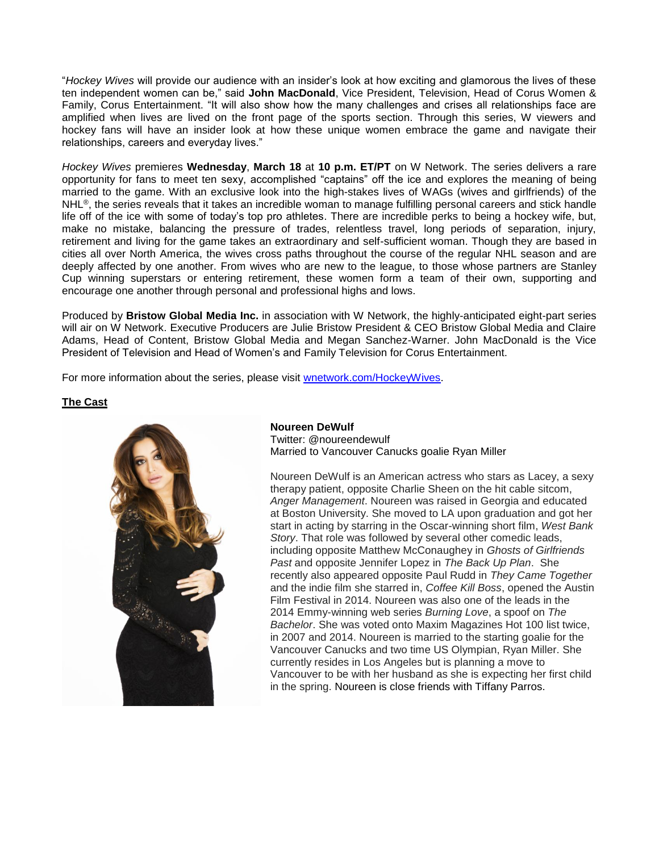"*Hockey Wives* will provide our audience with an insider's look at how exciting and glamorous the lives of these ten independent women can be," said **John MacDonald**, Vice President, Television, Head of Corus Women & Family, Corus Entertainment. "It will also show how the many challenges and crises all relationships face are amplified when lives are lived on the front page of the sports section. Through this series, W viewers and hockey fans will have an insider look at how these unique women embrace the game and navigate their relationships, careers and everyday lives."

*Hockey Wives* premieres **Wednesday**, **March 18** at **10 p.m. ET/PT** on W Network. The series delivers a rare opportunity for fans to meet ten sexy, accomplished "captains" off the ice and explores the meaning of being married to the game. With an exclusive look into the high-stakes lives of WAGs (wives and girlfriends) of the NHL®, the series reveals that it takes an incredible woman to manage fulfilling personal careers and stick handle life off of the ice with some of today's top pro athletes. There are incredible perks to being a hockey wife, but, make no mistake, balancing the pressure of trades, relentless travel, long periods of separation, injury, retirement and living for the game takes an extraordinary and self-sufficient woman. Though they are based in cities all over North America, the wives cross paths throughout the course of the regular NHL season and are deeply affected by one another. From wives who are new to the league, to those whose partners are Stanley Cup winning superstars or entering retirement, these women form a team of their own, supporting and encourage one another through personal and professional highs and lows.

Produced by **Bristow Global Media Inc.** in association with W Network, the highly-anticipated eight-part series will air on W Network. Executive Producers are Julie Bristow President & CEO Bristow Global Media and Claire Adams, Head of Content, Bristow Global Media and Megan Sanchez-Warner. John MacDonald is the Vice President of Television and Head of Women's and Family Television for Corus Entertainment.

For more information about the series, please visit [wnetwork.com/HockeyWives.](http://www.wnetwork.com/HockeyWives)

## **The Cast**



#### **Noureen DeWulf** Twitter: @noureendewulf Married to Vancouver Canucks goalie Ryan Miller

Noureen DeWulf is an American actress who stars as Lacey, a sexy therapy patient, opposite Charlie Sheen on the hit cable sitcom, *Anger Management*. Noureen was raised in Georgia and educated at Boston University. She moved to LA upon graduation and got her start in acting by starring in the Oscar-winning short film, *West Bank Story*. That role was followed by several other comedic leads, including opposite Matthew McConaughey in *Ghosts of Girlfriends Past* and opposite Jennifer Lopez in *The Back Up Plan*. She recently also appeared opposite Paul Rudd in *They Came Together* and the indie film she starred in, *Coffee Kill Boss*, opened the Austin Film Festival in 2014. Noureen was also one of the leads in the 2014 Emmy-winning web series *Burning Love*, a spoof on *The Bachelor*. She was voted onto Maxim Magazines Hot 100 list twice, in 2007 and 2014. Noureen is married to the starting goalie for the Vancouver Canucks and two time US Olympian, Ryan Miller. She currently resides in Los Angeles but is planning a move to Vancouver to be with her husband as she is expecting her first child in the spring. Noureen is close friends with Tiffany Parros.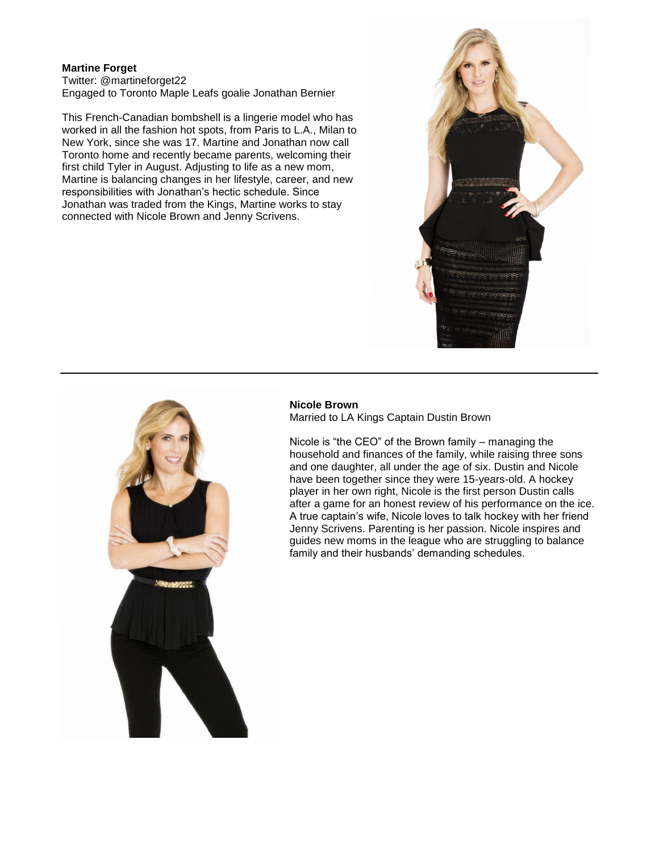## **Martine Forget**

Twitter: @martineforget22 Engaged to Toronto Maple Leafs goalie Jonathan Bernier

This French-Canadian bombshell is a lingerie model who has worked in all the fashion hot spots, from Paris to L.A., Milan to New York, since she was 17. Martine and Jonathan now call Toronto home and recently became parents, welcoming their first child Tyler in August. Adjusting to life as a new mom, Martine is balancing changes in her lifestyle, career, and new responsibilities with Jonathan's hectic schedule. Since Jonathan was traded from the Kings, Martine works to stay connected with Nicole Brown and Jenny Scrivens.





#### **Nicole Brown**

Married to LA Kings Captain Dustin Brown

Nicole is "the CEO" of the Brown family – managing the household and finances of the family, while raising three sons and one daughter, all under the age of six. Dustin and Nicole have been together since they were 15-years-old. A hockey player in her own right, Nicole is the first person Dustin calls after a game for an honest review of his performance on the ice. A true captain's wife, Nicole loves to talk hockey with her friend Jenny Scrivens. Parenting is her passion. Nicole inspires and guides new moms in the league who are struggling to balance family and their husbands' demanding schedules.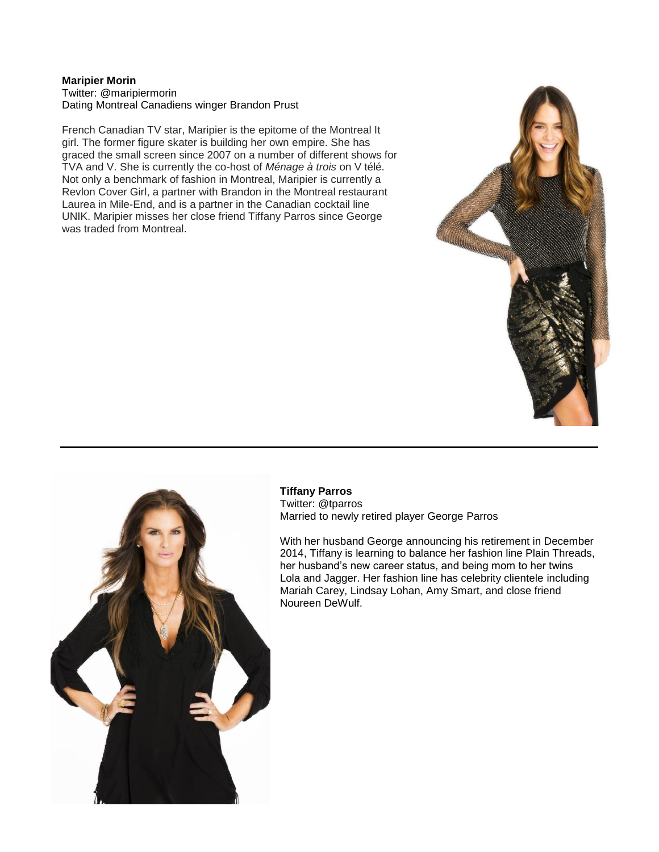#### **Maripier Morin** Twitter: @maripiermorin Dating Montreal Canadiens winger Brandon Prust

French Canadian TV star, Maripier is the epitome of the Montreal It girl. The former figure skater is building her own empire. She has graced the small screen since 2007 on a number of different shows for TVA and V. She is currently the co-host of *Ménage à trois* on V télé. Not only a benchmark of fashion in Montreal, Maripier is currently a Revlon Cover Girl, a partner with Brandon in the Montreal restaurant Laurea in Mile-End, and is a partner in the Canadian cocktail line UNIK. Maripier misses her close friend Tiffany Parros since George was traded from Montreal.





**Tiffany Parros** Twitter: @tparros Married to newly retired player George Parros

With her husband George announcing his retirement in December 2014, Tiffany is learning to balance her fashion line Plain Threads, her husband's new career status, and being mom to her twins Lola and Jagger. Her fashion line has celebrity clientele including Mariah Carey, Lindsay Lohan, Amy Smart, and close friend Noureen DeWulf.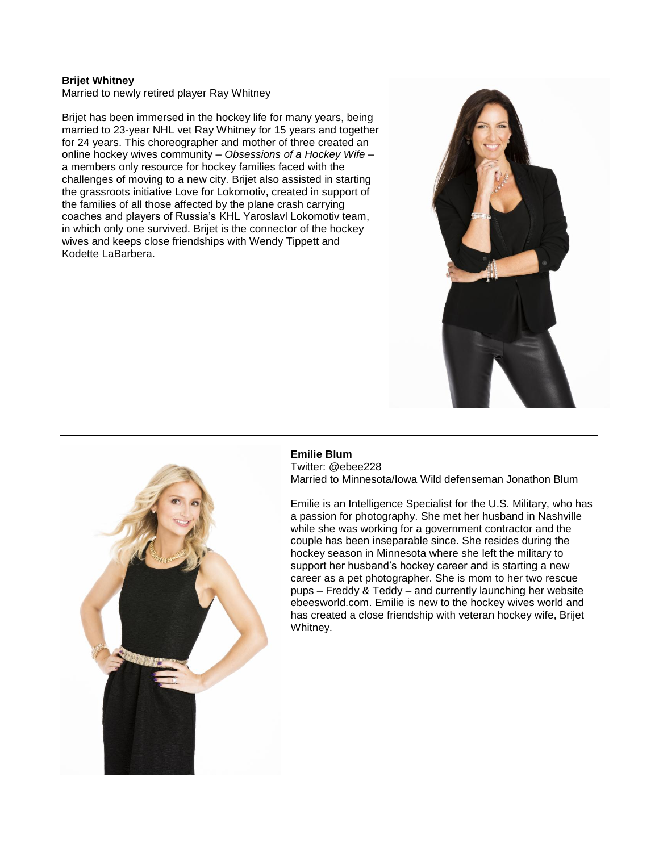## **Brijet Whitney**

Married to newly retired player Ray Whitney

Brijet has been immersed in the hockey life for many years, being married to 23-year NHL vet Ray Whitney for 15 years and together for 24 years. This choreographer and mother of three created an online hockey wives community – *Obsessions of a Hockey Wife* – a members only resource for hockey families faced with the challenges of moving to a new city. Brijet also assisted in starting the grassroots initiative Love for Lokomotiv, created in support of the families of all those affected by the plane crash carrying coaches and players of Russia's KHL Yaroslavl Lokomotiv team, in which only one survived. Brijet is the connector of the hockey wives and keeps close friendships with Wendy Tippett and Kodette LaBarbera.





**Emilie Blum** Twitter: @ebee228 Married to Minnesota/Iowa Wild defenseman Jonathon Blum

Emilie is an Intelligence Specialist for the U.S. Military, who has a passion for photography. She met her husband in Nashville while she was working for a government contractor and the couple has been inseparable since. She resides during the hockey season in Minnesota where she left the military to support her husband's hockey career and is starting a new career as a pet photographer. She is mom to her two rescue pups – Freddy & Teddy – and currently launching her website ebeesworld.com. Emilie is new to the hockey wives world and has created a close friendship with veteran hockey wife, Brijet Whitney.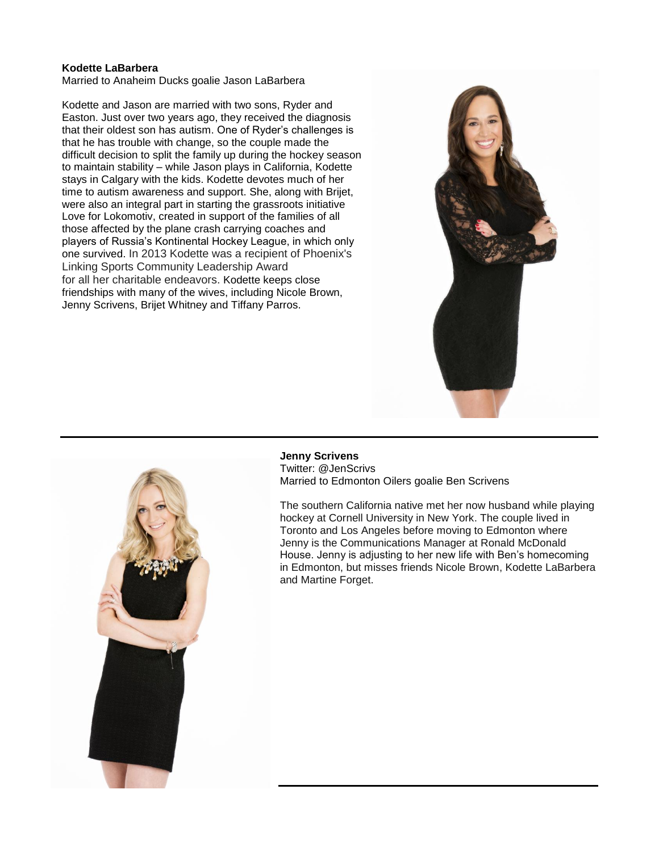#### **Kodette LaBarbera**

Married to Anaheim Ducks goalie Jason LaBarbera

Kodette and Jason are married with two sons, Ryder and Easton. Just over two years ago, they received the diagnosis that their oldest son has autism. One of Ryder's challenges is that he has trouble with change, so the couple made the difficult decision to split the family up during the hockey season to maintain stability – while Jason plays in California, Kodette stays in Calgary with the kids. Kodette devotes much of her time to autism awareness and support. She, along with Brijet, were also an integral part in starting the grassroots initiative Love for Lokomotiv, created in support of the families of all those affected by the plane crash carrying coaches and players of Russia's Kontinental Hockey League, in which only one survived. In 2013 Kodette was a recipient of Phoenix's Linking Sports Community Leadership Award for all her charitable endeavors. Kodette keeps close friendships with many of the wives, including Nicole Brown, Jenny Scrivens, Brijet Whitney and Tiffany Parros.





**Jenny Scrivens**

Twitter: @JenScrivs Married to Edmonton Oilers goalie Ben Scrivens

The southern California native met her now husband while playing hockey at Cornell University in New York. The couple lived in Toronto and Los Angeles before moving to Edmonton where Jenny is the Communications Manager at Ronald McDonald House. Jenny is adjusting to her new life with Ben's homecoming in Edmonton, but misses friends Nicole Brown, Kodette LaBarbera and Martine Forget.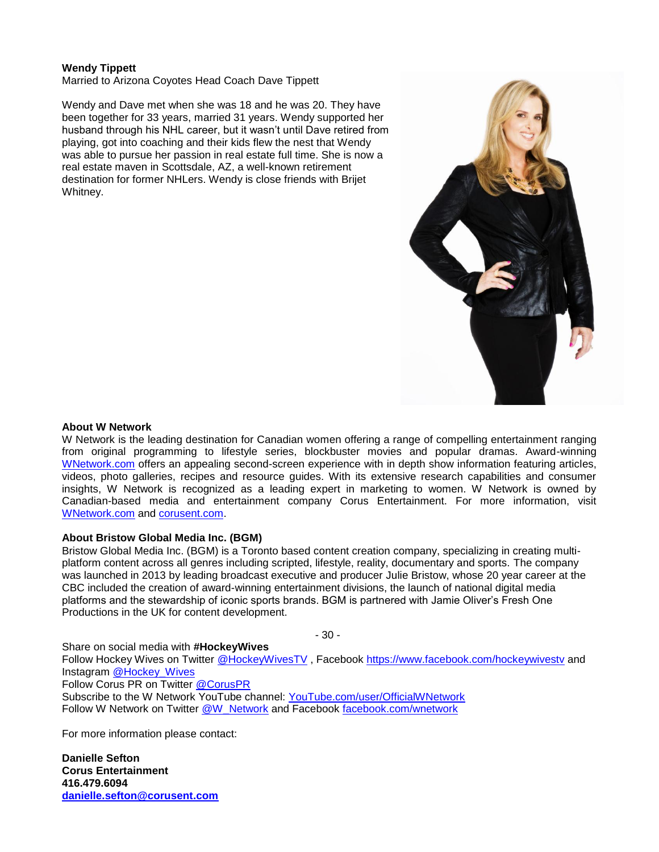## **Wendy Tippett**

Married to Arizona Coyotes Head Coach Dave Tippett

Wendy and Dave met when she was 18 and he was 20. They have been together for 33 years, married 31 years. Wendy supported her husband through his NHL career, but it wasn't until Dave retired from playing, got into coaching and their kids flew the nest that Wendy was able to pursue her passion in real estate full time. She is now a real estate maven in Scottsdale, AZ, a well-known retirement destination for former NHLers. Wendy is close friends with Brijet Whitney.



#### **About W Network**

W Network is the leading destination for Canadian women offering a range of compelling entertainment ranging from original programming to lifestyle series, blockbuster movies and popular dramas. Award-winning [WNetwork.com](http://www.wnetwork.com/) offers an appealing second-screen experience with in depth show information featuring articles, videos, photo galleries, recipes and resource guides. With its extensive research capabilities and consumer insights, W Network is recognized as a leading expert in marketing to women. W Network is owned by Canadian-based media and entertainment company Corus Entertainment. For more information, visit [WNetwork.com](http://www.wnetwork.com/) and [corusent.com.](http://www.corusent.com/)

## **About Bristow Global Media Inc. (BGM)**

Bristow Global Media Inc. (BGM) is a Toronto based content creation company, specializing in creating multiplatform content across all genres including scripted, lifestyle, reality, documentary and sports. The company was launched in 2013 by leading broadcast executive and producer Julie Bristow, whose 20 year career at the CBC included the creation of award-winning entertainment divisions, the launch of national digital media platforms and the stewardship of iconic sports brands. BGM is partnered with Jamie Oliver's Fresh One Productions in the UK for content development.

- 30 -

Share on social media with **#HockeyWives**

Follow Hockey Wives on Twitter [@HockeyWivesTV](https://twitter.com/HockeyWivesTV) , Facebook<https://www.facebook.com/hockeywivestv> and Instagram [@Hockey\\_Wives](http://instagram.com/hockey_wives)

#### Follow Corus PR on Twitter [@CorusPR](http://twitter.com/#!/CorusPR)

Subscribe to the W Network YouTube channel: [YouTube.com/user/OfficialWNetwork](http://www.youtube.com/user/OfficialWNetwork) Follow W Network on Twitter [@W\\_Network](http://twitter.com/#!/w_network) and Facebook [facebook.com/wnetwork](http://www.facebook.com/wnetwork)

For more information please contact:

**Danielle Sefton Corus Entertainment 416.479.6094 [danielle.sefton@corusent.com](mailto:danielle.sefton@corusent.com)**